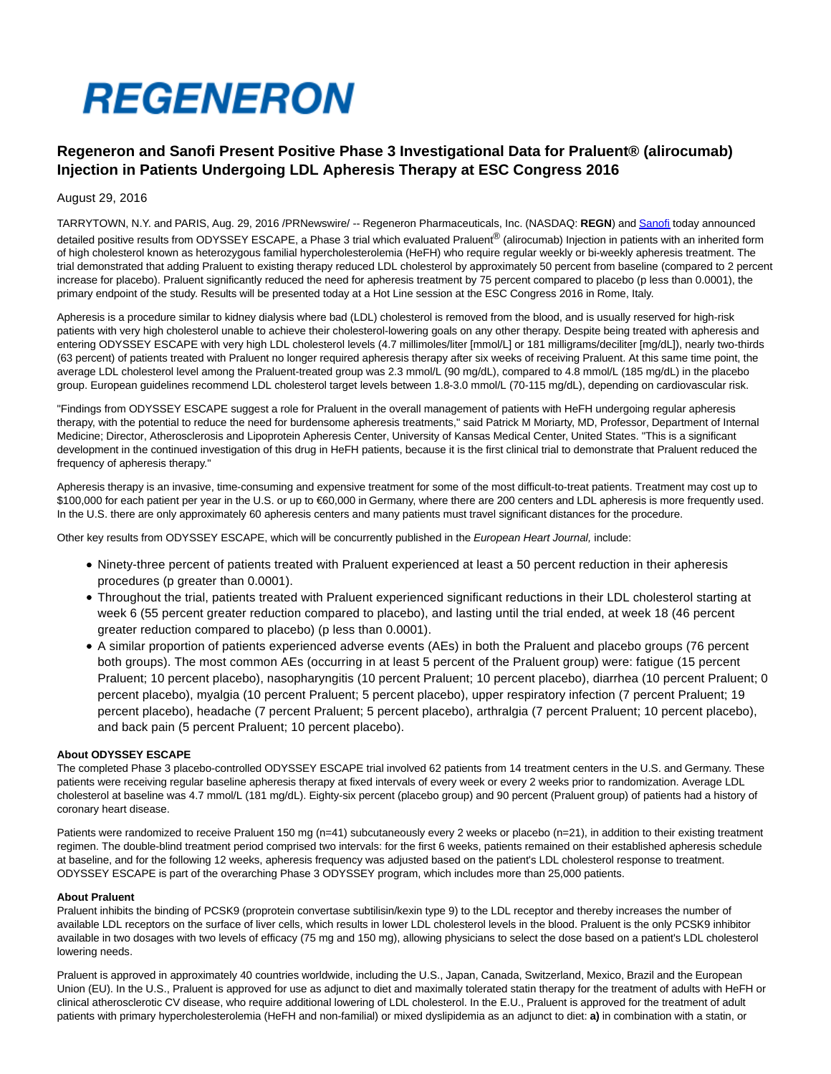

# **Regeneron and Sanofi Present Positive Phase 3 Investigational Data for Praluent® (alirocumab) Injection in Patients Undergoing LDL Apheresis Therapy at ESC Congress 2016**

## August 29, 2016

TARRYTOWN, N.Y. and PARIS, Aug. 29, 2016 /PRNewswire/ -- Regeneron Pharmaceuticals, Inc. (NASDAQ: **REGN**) an[d Sanofi t](http://www.sanofi.com/)oday announced detailed positive results from ODYSSEY ESCAPE, a Phase 3 trial which evaluated Praluent® (alirocumab) Injection in patients with an inherited form of high cholesterol known as heterozygous familial hypercholesterolemia (HeFH) who require regular weekly or bi-weekly apheresis treatment. The trial demonstrated that adding Praluent to existing therapy reduced LDL cholesterol by approximately 50 percent from baseline (compared to 2 percent increase for placebo). Praluent significantly reduced the need for apheresis treatment by 75 percent compared to placebo (p less than 0.0001), the primary endpoint of the study. Results will be presented today at a Hot Line session at the ESC Congress 2016 in Rome, Italy.

Apheresis is a procedure similar to kidney dialysis where bad (LDL) cholesterol is removed from the blood, and is usually reserved for high-risk patients with very high cholesterol unable to achieve their cholesterol-lowering goals on any other therapy. Despite being treated with apheresis and entering ODYSSEY ESCAPE with very high LDL cholesterol levels (4.7 millimoles/liter [mmol/L] or 181 milligrams/deciliter [mg/dL]), nearly two-thirds (63 percent) of patients treated with Praluent no longer required apheresis therapy after six weeks of receiving Praluent. At this same time point, the average LDL cholesterol level among the Praluent-treated group was 2.3 mmol/L (90 mg/dL), compared to 4.8 mmol/L (185 mg/dL) in the placebo group. European guidelines recommend LDL cholesterol target levels between 1.8-3.0 mmol/L (70-115 mg/dL), depending on cardiovascular risk.

"Findings from ODYSSEY ESCAPE suggest a role for Praluent in the overall management of patients with HeFH undergoing regular apheresis therapy, with the potential to reduce the need for burdensome apheresis treatments," said Patrick M Moriarty, MD, Professor, Department of Internal Medicine; Director, Atherosclerosis and Lipoprotein Apheresis Center, University of Kansas Medical Center, United States. "This is a significant development in the continued investigation of this drug in HeFH patients, because it is the first clinical trial to demonstrate that Praluent reduced the frequency of apheresis therapy."

Apheresis therapy is an invasive, time-consuming and expensive treatment for some of the most difficult-to-treat patients. Treatment may cost up to \$100,000 for each patient per year in the U.S. or up to €60,000 in Germany, where there are 200 centers and LDL apheresis is more frequently used. In the U.S. there are only approximately 60 apheresis centers and many patients must travel significant distances for the procedure.

Other key results from ODYSSEY ESCAPE, which will be concurrently published in the European Heart Journal, include:

- Ninety-three percent of patients treated with Praluent experienced at least a 50 percent reduction in their apheresis procedures (p greater than 0.0001).
- Throughout the trial, patients treated with Praluent experienced significant reductions in their LDL cholesterol starting at week 6 (55 percent greater reduction compared to placebo), and lasting until the trial ended, at week 18 (46 percent greater reduction compared to placebo) (p less than 0.0001).
- A similar proportion of patients experienced adverse events (AEs) in both the Praluent and placebo groups (76 percent both groups). The most common AEs (occurring in at least 5 percent of the Praluent group) were: fatigue (15 percent Praluent; 10 percent placebo), nasopharyngitis (10 percent Praluent; 10 percent placebo), diarrhea (10 percent Praluent; 0 percent placebo), myalgia (10 percent Praluent; 5 percent placebo), upper respiratory infection (7 percent Praluent; 19 percent placebo), headache (7 percent Praluent; 5 percent placebo), arthralgia (7 percent Praluent; 10 percent placebo), and back pain (5 percent Praluent; 10 percent placebo).

### **About ODYSSEY ESCAPE**

The completed Phase 3 placebo-controlled ODYSSEY ESCAPE trial involved 62 patients from 14 treatment centers in the U.S. and Germany. These patients were receiving regular baseline apheresis therapy at fixed intervals of every week or every 2 weeks prior to randomization. Average LDL cholesterol at baseline was 4.7 mmol/L (181 mg/dL). Eighty-six percent (placebo group) and 90 percent (Praluent group) of patients had a history of coronary heart disease.

Patients were randomized to receive Praluent 150 mg (n=41) subcutaneously every 2 weeks or placebo (n=21), in addition to their existing treatment regimen. The double-blind treatment period comprised two intervals: for the first 6 weeks, patients remained on their established apheresis schedule at baseline, and for the following 12 weeks, apheresis frequency was adjusted based on the patient's LDL cholesterol response to treatment. ODYSSEY ESCAPE is part of the overarching Phase 3 ODYSSEY program, which includes more than 25,000 patients.

### **About Praluent**

Praluent inhibits the binding of PCSK9 (proprotein convertase subtilisin/kexin type 9) to the LDL receptor and thereby increases the number of available LDL receptors on the surface of liver cells, which results in lower LDL cholesterol levels in the blood. Praluent is the only PCSK9 inhibitor available in two dosages with two levels of efficacy (75 mg and 150 mg), allowing physicians to select the dose based on a patient's LDL cholesterol lowering needs.

Praluent is approved in approximately 40 countries worldwide, including the U.S., Japan, Canada, Switzerland, Mexico, Brazil and the European Union (EU). In the U.S., Praluent is approved for use as adjunct to diet and maximally tolerated statin therapy for the treatment of adults with HeFH or clinical atherosclerotic CV disease, who require additional lowering of LDL cholesterol. In the E.U., Praluent is approved for the treatment of adult patients with primary hypercholesterolemia (HeFH and non-familial) or mixed dyslipidemia as an adjunct to diet: **a)** in combination with a statin, or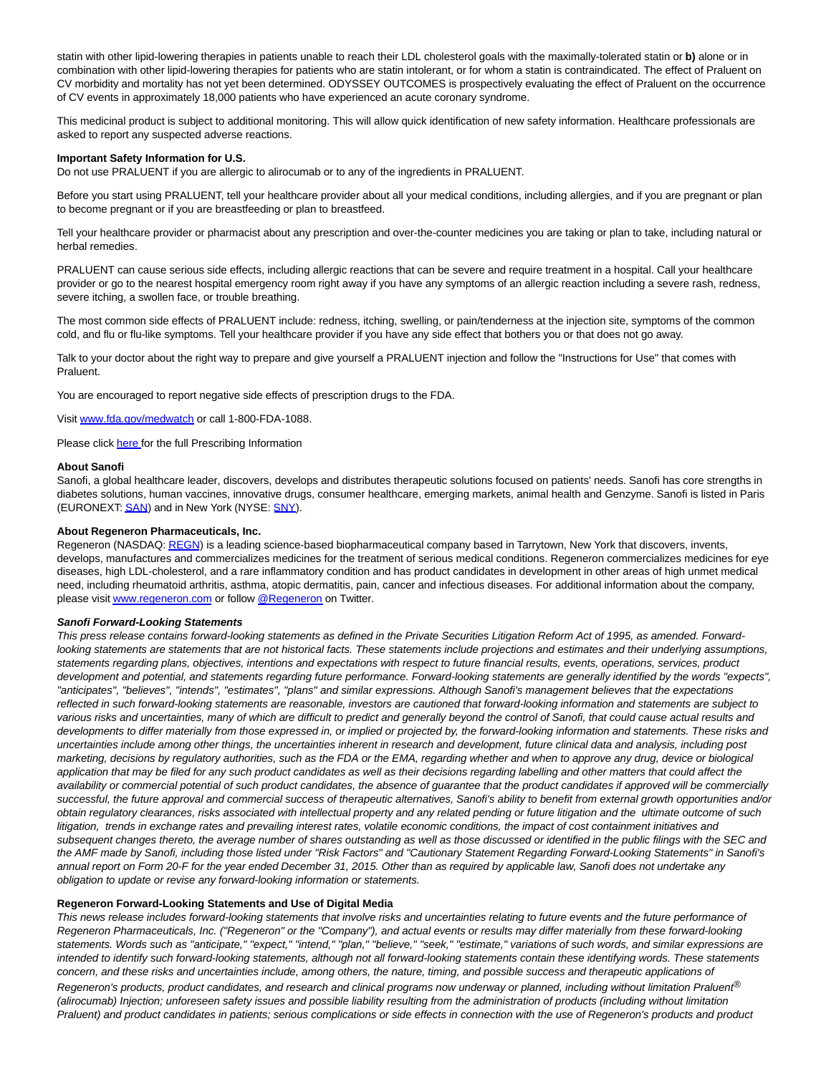statin with other lipid-lowering therapies in patients unable to reach their LDL cholesterol goals with the maximally-tolerated statin or **b)** alone or in combination with other lipid-lowering therapies for patients who are statin intolerant, or for whom a statin is contraindicated. The effect of Praluent on CV morbidity and mortality has not yet been determined. ODYSSEY OUTCOMES is prospectively evaluating the effect of Praluent on the occurrence of CV events in approximately 18,000 patients who have experienced an acute coronary syndrome.

This medicinal product is subject to additional monitoring. This will allow quick identification of new safety information. Healthcare professionals are asked to report any suspected adverse reactions.

## **Important Safety Information for U.S.**

Do not use PRALUENT if you are allergic to alirocumab or to any of the ingredients in PRALUENT.

Before you start using PRALUENT, tell your healthcare provider about all your medical conditions, including allergies, and if you are pregnant or plan to become pregnant or if you are breastfeeding or plan to breastfeed.

Tell your healthcare provider or pharmacist about any prescription and over-the-counter medicines you are taking or plan to take, including natural or herbal remedies.

PRALUENT can cause serious side effects, including allergic reactions that can be severe and require treatment in a hospital. Call your healthcare provider or go to the nearest hospital emergency room right away if you have any symptoms of an allergic reaction including a severe rash, redness, severe itching, a swollen face, or trouble breathing.

The most common side effects of PRALUENT include: redness, itching, swelling, or pain/tenderness at the injection site, symptoms of the common cold, and flu or flu-like symptoms. Tell your healthcare provider if you have any side effect that bothers you or that does not go away.

Talk to your doctor about the right way to prepare and give yourself a PRALUENT injection and follow the "Instructions for Use" that comes with Praluent.

You are encouraged to report negative side effects of prescription drugs to the FDA.

Visit [www.fda.gov/medwatch o](http://www.fda.gov/medwatch)r call 1-800-FDA-1088.

Please clic[k here fo](http://products.sanofi.us/praluent/praluent.pdf)r the full Prescribing Information

## **About Sanofi**

Sanofi, a global healthcare leader, discovers, develops and distributes therapeutic solutions focused on patients' needs. Sanofi has core strengths in diabetes solutions, human vaccines, innovative drugs, consumer healthcare, emerging markets, animal health and Genzyme. Sanofi is listed in Paris (EURONEXT[: SAN\)](http://en.sanofi.com/investors/share/stock_chart/stock_chart.aspx) and in New York (NYSE: [SNY\).](http://en.sanofi.com/investors/share/stock_chart/stock_chart.aspx)

## **About Regeneron Pharmaceuticals, Inc.**

Regeneron (NASDAQ[: REGN\)](http://investor.regeneron.com/stockquote.cfm) is a leading science-based biopharmaceutical company based in Tarrytown, New York that discovers, invents, develops, manufactures and commercializes medicines for the treatment of serious medical conditions. Regeneron commercializes medicines for eye diseases, high LDL-cholesterol, and a rare inflammatory condition and has product candidates in development in other areas of high unmet medical need, including rheumatoid arthritis, asthma, atopic dermatitis, pain, cancer and infectious diseases. For additional information about the company, please visi[t www.regeneron.com o](http://www.regeneron.com/)r follow [@Regeneron o](http://www.twitter.com/regeneron)n Twitter.

### **Sanofi Forward-Looking Statements**

This press release contains forward-looking statements as defined in the Private Securities Litigation Reform Act of 1995, as amended. Forwardlooking statements are statements that are not historical facts. These statements include projections and estimates and their underlying assumptions, statements regarding plans, objectives, intentions and expectations with respect to future financial results, events, operations, services, product development and potential, and statements regarding future performance. Forward-looking statements are generally identified by the words "expects", "anticipates", "believes", "intends", "estimates", "plans" and similar expressions. Although Sanofi's management believes that the expectations reflected in such forward-looking statements are reasonable, investors are cautioned that forward-looking information and statements are subject to various risks and uncertainties, many of which are difficult to predict and generally beyond the control of Sanofi, that could cause actual results and developments to differ materially from those expressed in, or implied or projected by, the forward-looking information and statements. These risks and uncertainties include among other things, the uncertainties inherent in research and development, future clinical data and analysis, including post marketing, decisions by regulatory authorities, such as the FDA or the EMA, regarding whether and when to approve any drug, device or biological application that may be filed for any such product candidates as well as their decisions regarding labelling and other matters that could affect the availability or commercial potential of such product candidates, the absence of guarantee that the product candidates if approved will be commercially successful, the future approval and commercial success of therapeutic alternatives, Sanofi's ability to benefit from external growth opportunities and/or obtain regulatory clearances, risks associated with intellectual property and any related pending or future litigation and the ultimate outcome of such litigation, trends in exchange rates and prevailing interest rates, volatile economic conditions, the impact of cost containment initiatives and subsequent changes thereto, the average number of shares outstanding as well as those discussed or identified in the public filings with the SEC and the AMF made by Sanofi, including those listed under "Risk Factors" and "Cautionary Statement Regarding Forward-Looking Statements" in Sanofi's annual report on Form 20-F for the year ended December 31, 2015. Other than as required by applicable law, Sanofi does not undertake any obligation to update or revise any forward-looking information or statements.

### **Regeneron Forward-Looking Statements and Use of Digital Media**

This news release includes forward-looking statements that involve risks and uncertainties relating to future events and the future performance of Regeneron Pharmaceuticals, Inc. ("Regeneron" or the "Company"), and actual events or results may differ materially from these forward-looking statements. Words such as "anticipate," "expect," "intend," "plan," "believe," "seek," "estimate," variations of such words, and similar expressions are intended to identify such forward-looking statements, although not all forward-looking statements contain these identifying words. These statements concern, and these risks and uncertainties include, among others, the nature, timing, and possible success and therapeutic applications of Regeneron's products, product candidates, and research and clinical programs now underway or planned, including without limitation Praluent<sup>®</sup> (alirocumab) Injection; unforeseen safety issues and possible liability resulting from the administration of products (including without limitation Praluent) and product candidates in patients; serious complications or side effects in connection with the use of Regeneron's products and product